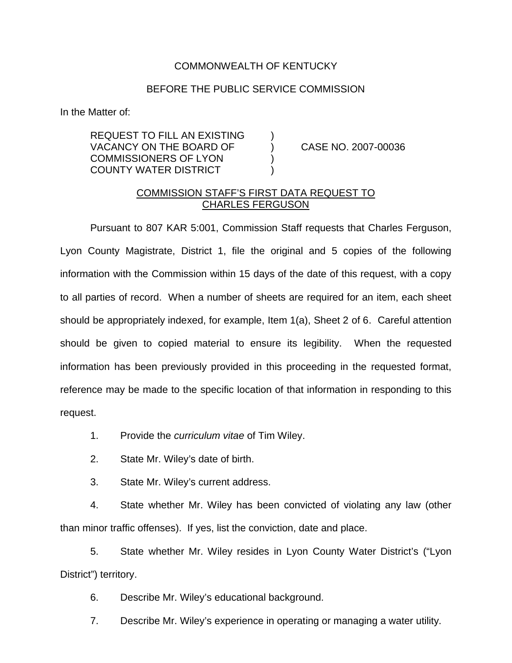## COMMONWEALTH OF KENTUCKY

## BEFORE THE PUBLIC SERVICE COMMISSION

In the Matter of:

REQUEST TO FILL AN EXISTING ) VACANCY ON THE BOARD OF (2007-00036) COMMISSIONERS OF LYON ) COUNTY WATER DISTRICT )

## COMMISSION STAFF'S FIRST DATA REQUEST TO CHARLES FERGUSON

Pursuant to 807 KAR 5:001, Commission Staff requests that Charles Ferguson, Lyon County Magistrate, District 1, file the original and 5 copies of the following information with the Commission within 15 days of the date of this request, with a copy to all parties of record. When a number of sheets are required for an item, each sheet should be appropriately indexed, for example, Item 1(a), Sheet 2 of 6. Careful attention should be given to copied material to ensure its legibility. When the requested information has been previously provided in this proceeding in the requested format, reference may be made to the specific location of that information in responding to this request.

- 1. Provide the *curriculum vitae* of Tim Wiley.
- 2. State Mr. Wiley's date of birth.
- 3. State Mr. Wiley's current address.

4. State whether Mr. Wiley has been convicted of violating any law (other than minor traffic offenses). If yes, list the conviction, date and place.

5. State whether Mr. Wiley resides in Lyon County Water District's ("Lyon District") territory.

6. Describe Mr. Wiley's educational background.

7. Describe Mr. Wiley's experience in operating or managing a water utility.